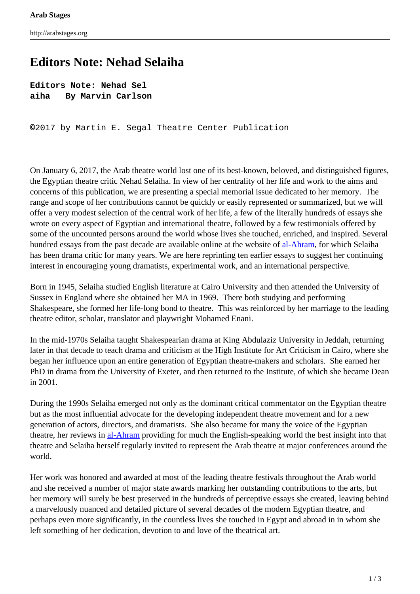# **Editors Note: Nehad Selaiha**

**Editors Note: Nehad Sel aiha By Marvin Carlson**

**©**2017 by Martin E. Segal Theatre Center Publication

On January 6, 2017, the Arab theatre world lost one of its best-known, beloved, and distinguished figures, the Egyptian theatre critic Nehad Selaiha. In view of her centrality of her life and work to the aims and concerns of this publication, we are presenting a special memorial issue dedicated to her memory. The range and scope of her contributions cannot be quickly or easily represented or summarized, but we will offer a very modest selection of the central work of her life, a few of the literally hundreds of essays she wrote on every aspect of Egyptian and international theatre, followed by a few testimonials offered by some of the uncounted persons around the world whose lives she touched, enriched, and inspired. Several hundred essays from the past decade are available online at the website of [al-Ahram](http://www.ahram.org.eg/), for which Selaiha has been drama critic for many years. We are here reprinting ten earlier essays to suggest her continuing interest in encouraging young dramatists, experimental work, and an international perspective.

Born in 1945, Selaiha studied English literature at Cairo University and then attended the University of Sussex in England where she obtained her MA in 1969. There both studying and performing Shakespeare, she formed her life-long bond to theatre. This was reinforced by her marriage to the leading theatre editor, scholar, translator and playwright Mohamed Enani.

In the mid-1970s Selaiha taught Shakespearian drama at King Abdulaziz University in Jeddah, returning later in that decade to teach drama and criticism at the High Institute for Art Criticism in Cairo, where she began her influence upon an entire generation of Egyptian theatre-makers and scholars. She earned her PhD in drama from the University of Exeter, and then returned to the Institute, of which she became Dean in 2001.

During the 1990s Selaiha emerged not only as the dominant critical commentator on the Egyptian theatre but as the most influential advocate for the developing independent theatre movement and for a new generation of actors, directors, and dramatists. She also became for many the voice of the Egyptian theatre, her reviews in [al-Ahram](http://www.ahram.org.eg/) providing for much the English-speaking world the best insight into that theatre and Selaiha herself regularly invited to represent the Arab theatre at major conferences around the world.

Her work was honored and awarded at most of the leading theatre festivals throughout the Arab world and she received a number of major state awards marking her outstanding contributions to the arts, but her memory will surely be best preserved in the hundreds of perceptive essays she created, leaving behind a marvelously nuanced and detailed picture of several decades of the modern Egyptian theatre, and perhaps even more significantly, in the countless lives she touched in Egypt and abroad in in whom she left something of her dedication, devotion to and love of the theatrical art.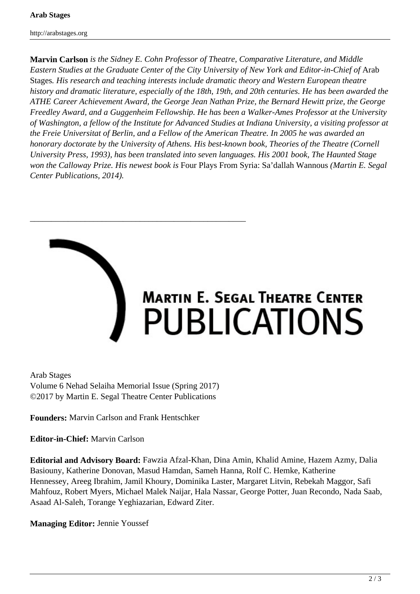http://arabstages.org

**Marvin Carlson** *is the Sidney E. Cohn Professor of Theatre, Comparative Literature, and Middle Eastern Studies at the Graduate Center of the City University of New York and Editor-in-Chief of* Arab Stages*. His research and teaching interests include dramatic theory and Western European theatre history and dramatic literature, especially of the 18th, 19th, and 20th centuries. He has been awarded the ATHE Career Achievement Award, the George Jean Nathan Prize, the Bernard Hewitt prize, the George Freedley Award, and a Guggenheim Fellowship. He has been a Walker-Ames Professor at the University of Washington, a fellow of the Institute for Advanced Studies at Indiana University, a visiting professor at the Freie Universitat of Berlin, and a Fellow of the American Theatre. In 2005 he was awarded an honorary doctorate by the University of Athens. His best-known book, Theories of the Theatre (Cornell University Press, 1993), has been translated into seven languages. His 2001 book, The Haunted Stage won the Calloway Prize. His newest book is* Four Plays From Syria: Sa'dallah Wannous *(Martin E. Segal Center Publications, 2014).*



Arab Stages Volume 6 Nehad Selaiha Memorial Issue (Spring 2017) ©2017 by Martin E. Segal Theatre Center Publications

\_\_\_\_\_\_\_\_\_\_\_\_\_\_\_\_\_\_\_\_\_\_\_\_\_\_\_\_\_\_\_\_\_\_\_\_\_\_\_\_\_\_\_\_\_\_\_\_\_\_\_

**Founders:** Marvin Carlson and Frank Hentschker

**Editor-in-Chief:** Marvin Carlson

**Editorial and Advisory Board:** Fawzia Afzal-Khan, Dina Amin, Khalid Amine, Hazem Azmy, Dalia Basiouny, Katherine Donovan, Masud Hamdan, Sameh Hanna, Rolf C. Hemke, Katherine Hennessey, Areeg Ibrahim, Jamil Khoury, Dominika Laster, Margaret Litvin, Rebekah Maggor, Safi Mahfouz, Robert Myers, Michael Malek Naijar, Hala Nassar, George Potter, Juan Recondo, Nada Saab, Asaad Al-Saleh, Torange Yeghiazarian, Edward Ziter.

**Managing Editor:** Jennie Youssef